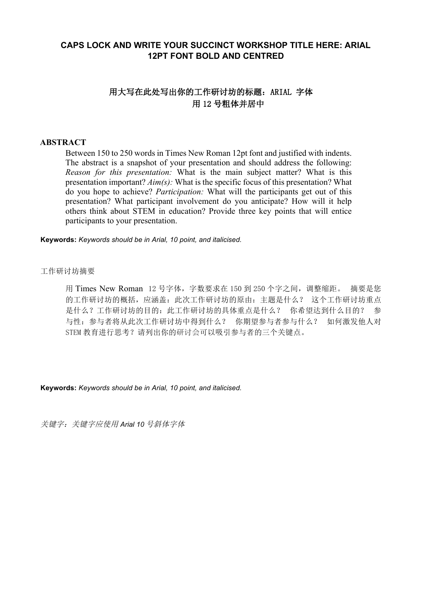## **CAPS LOCK AND WRITE YOUR SUCCINCT WORKSHOP TITLE HERE: ARIAL 12PT FONT BOLD AND CENTRED**

# 用大写在此处写出你的工作研讨坊的标题:ARIAL 字体 用 12 号粗体并居中

## **ABSTRACT**

Between 150 to 250 words in Times New Roman 12pt font and justified with indents. The abstract is a snapshot of your presentation and should address the following: *Reason for this presentation:* What is the main subject matter? What is this presentation important? *Aim(s):* What is the specific focus of this presentation? What do you hope to achieve? *Participation:* What will the participants get out of this presentation? What participant involvement do you anticipate? How will it help others think about STEM in education? Provide three key points that will entice participants to your presentation.

**Keywords:** *Keywords should be in Arial, 10 point, and italicised.*

#### 工作研讨坊摘要

用 Times New Roman 12 号字体,字数要求在 150 到 250 个字之间,调整缩距。 摘要是您 的工作研讨坊的概括,应涵盖:此次工作研讨坊的原由:主题是什么? 这个工作研讨坊重点 是什么?工作研讨坊的目的: 此工作研讨坊的具体重点是什么? 你希望达到什么目的? 参 与性:参与者将从此次工作研讨坊中得到什么? 你期望参与者参与什么? 如何激发他人对 STEM 教育进行思考?请列出你的研讨会可以吸引参与者的三个关键点。

**Keywords:** *Keywords should be in Arial, 10 point, and italicised.*

关键字:关键字应使用 *Arial 10* 号斜体字体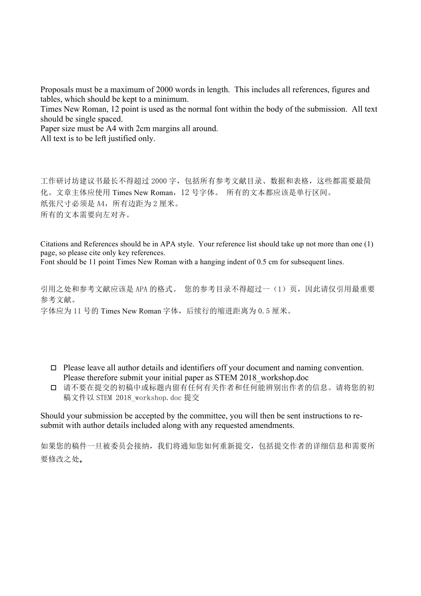Proposals must be a maximum of 2000 words in length. This includes all references, figures and tables, which should be kept to a minimum.

Times New Roman, 12 point is used as the normal font within the body of the submission. All text should be single spaced.

Paper size must be A4 with 2cm margins all around.

All text is to be left justified only.

工作研讨坊建议书最长不得超过 2000 字,包括所有参考文献目录、数据和表格,这些都需要最简 化。文章主体应使用 Times New Roman,12 号字体。 所有的文本都应该是单行区间。 纸张尺寸必须是 A4, 所有边距为 2 厘米。 所有的文本需要向左对齐。

Citations and References should be in APA style. Your reference list should take up not more than one (1) page, so please cite only key references.

Font should be 11 point Times New Roman with a hanging indent of 0.5 cm for subsequent lines.

引用之处和参考文献应该是 APA 的格式。 您的参考目录不得超过一(1)页,因此请仅引用最重要 参考文献。 字体应为 11 号的 Times New Roman 字体, 后续行的缩进距离为  $0.5$  厘米。

- $\Box$  Please leave all author details and identifiers off your document and naming convention. Please therefore submit your initial paper as STEM 2018\_workshop.doc
- o 请不要在提交的初稿中或标题内留有任何有关作者和任何能辨别出作者的信息。请将您的初 稿文件以 STEM 2018\_workshop.doc 提交

Should your submission be accepted by the committee, you will then be sent instructions to resubmit with author details included along with any requested amendments.

如果您的稿件一旦被委员会接纳,我们将通知您如何重新提交,包括提交作者的详细信息和需要所 要修改之处。